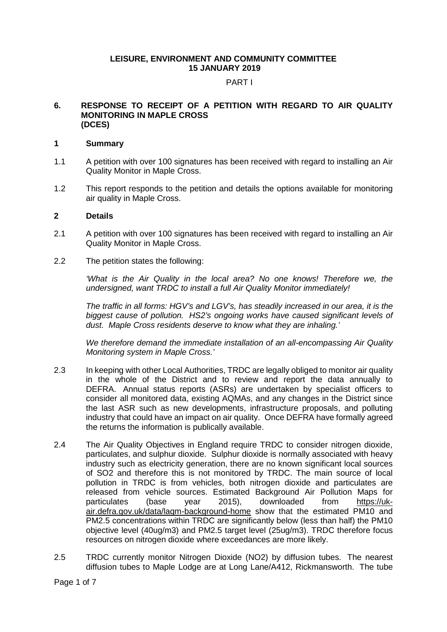## **LEISURE, ENVIRONMENT AND COMMUNITY COMMITTEE 15 JANUARY 2019**

## PART I

#### **6. RESPONSE TO RECEIPT OF A PETITION WITH REGARD TO AIR QUALITY MONITORING IN MAPLE CROSS (DCES)**

## **1 Summary**

- 1.1 A petition with over 100 signatures has been received with regard to installing an Air Quality Monitor in Maple Cross.
- 1.2 This report responds to the petition and details the options available for monitoring air quality in Maple Cross.

## **2 Details**

- 2.1 A petition with over 100 signatures has been received with regard to installing an Air Quality Monitor in Maple Cross.
- 2.2 The petition states the following:

*'What is the Air Quality in the local area? No one knows! Therefore we, the undersigned, want TRDC to install a full Air Quality Monitor immediately!*

*The traffic in all forms: HGV's and LGV's, has steadily increased in our area, it is the biggest cause of pollution. HS2's ongoing works have caused significant levels of dust. Maple Cross residents deserve to know what they are inhaling.'*

*We therefore demand the immediate installation of an all-encompassing Air Quality Monitoring system in Maple Cross.'*

- 2.3 In keeping with other Local Authorities, TRDC are legally obliged to monitor air quality in the whole of the District and to review and report the data annually to DEFRA. Annual status reports (ASRs) are undertaken by specialist officers to consider all monitored data, existing AQMAs, and any changes in the District since the last ASR such as new developments, infrastructure proposals, and polluting industry that could have an impact on air quality. Once DEFRA have formally agreed the returns the information is publically available.
- 2.4 The Air Quality Objectives in England require TRDC to consider nitrogen dioxide, particulates, and sulphur dioxide. Sulphur dioxide is normally associated with heavy industry such as electricity generation, there are no known significant local sources of SO2 and therefore this is not monitored by TRDC. The main source of local pollution in TRDC is from vehicles, both nitrogen dioxide and particulates are released from vehicle sources. Estimated Background Air Pollution Maps for particulates (base year 2015), downloaded from https://ukparticulates (base year 2015), downloaded from [https://uk](https://uk-air.defra.gov.uk/data/laqm-background-home)[air.defra.gov.uk/data/laqm-background-home](https://uk-air.defra.gov.uk/data/laqm-background-home) show that the estimated PM10 and PM2.5 concentrations within TRDC are significantly below (less than half) the PM10 objective level (40ug/m3) and PM2.5 target level (25ug/m3). TRDC therefore focus resources on nitrogen dioxide where exceedances are more likely.
- 2.5 TRDC currently monitor Nitrogen Dioxide (NO2) by diffusion tubes. The nearest diffusion tubes to Maple Lodge are at Long Lane/A412, Rickmansworth. The tube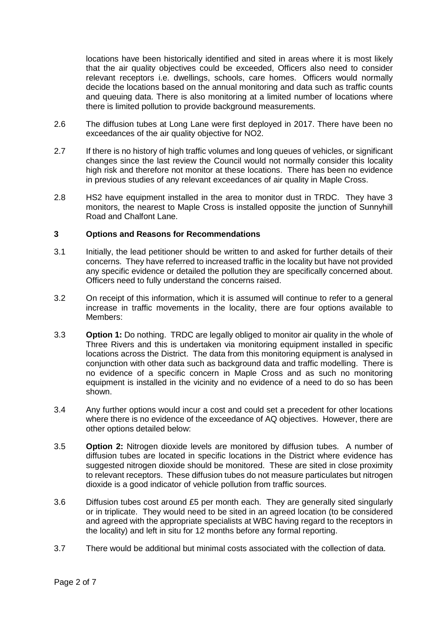locations have been historically identified and sited in areas where it is most likely that the air quality objectives could be exceeded, Officers also need to consider relevant receptors i.e. dwellings, schools, care homes. Officers would normally decide the locations based on the annual monitoring and data such as traffic counts and queuing data. There is also monitoring at a limited number of locations where there is limited pollution to provide background measurements.

- 2.6 The diffusion tubes at Long Lane were first deployed in 2017. There have been no exceedances of the air quality objective for NO2.
- 2.7 If there is no history of high traffic volumes and long queues of vehicles, or significant changes since the last review the Council would not normally consider this locality high risk and therefore not monitor at these locations. There has been no evidence in previous studies of any relevant exceedances of air quality in Maple Cross.
- 2.8 HS2 have equipment installed in the area to monitor dust in TRDC. They have 3 monitors, the nearest to Maple Cross is installed opposite the junction of Sunnyhill Road and Chalfont Lane.

# **3 Options and Reasons for Recommendations**

- 3.1 Initially, the lead petitioner should be written to and asked for further details of their concerns. They have referred to increased traffic in the locality but have not provided any specific evidence or detailed the pollution they are specifically concerned about. Officers need to fully understand the concerns raised.
- 3.2 On receipt of this information, which it is assumed will continue to refer to a general increase in traffic movements in the locality, there are four options available to Members:
- 3.3 **Option 1:** Do nothing. TRDC are legally obliged to monitor air quality in the whole of Three Rivers and this is undertaken via monitoring equipment installed in specific locations across the District. The data from this monitoring equipment is analysed in conjunction with other data such as background data and traffic modelling. There is no evidence of a specific concern in Maple Cross and as such no monitoring equipment is installed in the vicinity and no evidence of a need to do so has been shown.
- 3.4 Any further options would incur a cost and could set a precedent for other locations where there is no evidence of the exceedance of AQ objectives. However, there are other options detailed below:
- 3.5 **Option 2:** Nitrogen dioxide levels are monitored by diffusion tubes. A number of diffusion tubes are located in specific locations in the District where evidence has suggested nitrogen dioxide should be monitored. These are sited in close proximity to relevant receptors. These diffusion tubes do not measure particulates but nitrogen dioxide is a good indicator of vehicle pollution from traffic sources.
- 3.6 Diffusion tubes cost around £5 per month each. They are generally sited singularly or in triplicate. They would need to be sited in an agreed location (to be considered and agreed with the appropriate specialists at WBC having regard to the receptors in the locality) and left in situ for 12 months before any formal reporting.
- 3.7 There would be additional but minimal costs associated with the collection of data.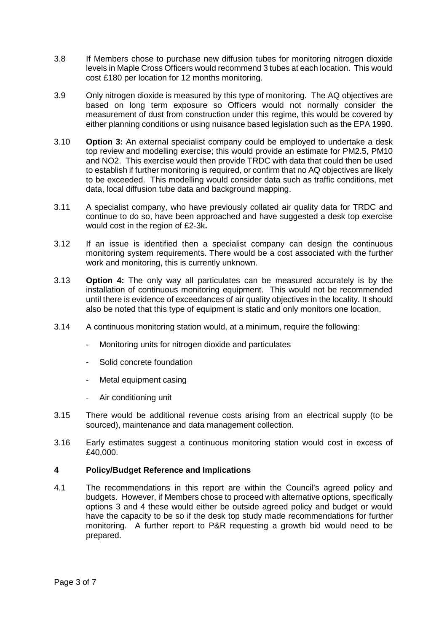- 3.8 If Members chose to purchase new diffusion tubes for monitoring nitrogen dioxide levels in Maple Cross Officers would recommend 3 tubes at each location. This would cost £180 per location for 12 months monitoring.
- 3.9 Only nitrogen dioxide is measured by this type of monitoring. The AQ objectives are based on long term exposure so Officers would not normally consider the measurement of dust from construction under this regime, this would be covered by either planning conditions or using nuisance based legislation such as the EPA 1990.
- 3.10 **Option 3:** An external specialist company could be employed to undertake a desk top review and modelling exercise; this would provide an estimate for PM2.5, PM10 and NO2. This exercise would then provide TRDC with data that could then be used to establish if further monitoring is required, or confirm that no AQ objectives are likely to be exceeded. This modelling would consider data such as traffic conditions, met data, local diffusion tube data and background mapping.
- 3.11 A specialist company, who have previously collated air quality data for TRDC and continue to do so, have been approached and have suggested a desk top exercise would cost in the region of £2-3k**.**
- 3.12 If an issue is identified then a specialist company can design the continuous monitoring system requirements. There would be a cost associated with the further work and monitoring, this is currently unknown.
- 3.13 **Option 4:** The only way all particulates can be measured accurately is by the installation of continuous monitoring equipment. This would not be recommended until there is evidence of exceedances of air quality objectives in the locality. It should also be noted that this type of equipment is static and only monitors one location.
- 3.14 A continuous monitoring station would, at a minimum, require the following:
	- Monitoring units for nitrogen dioxide and particulates
	- Solid concrete foundation
	- Metal equipment casing
	- Air conditioning unit
- 3.15 There would be additional revenue costs arising from an electrical supply (to be sourced), maintenance and data management collection.
- 3.16 Early estimates suggest a continuous monitoring station would cost in excess of £40,000.

# **4 Policy/Budget Reference and Implications**

4.1 The recommendations in this report are within the Council's agreed policy and budgets. However, if Members chose to proceed with alternative options, specifically options 3 and 4 these would either be outside agreed policy and budget or would have the capacity to be so if the desk top study made recommendations for further monitoring. A further report to P&R requesting a growth bid would need to be prepared.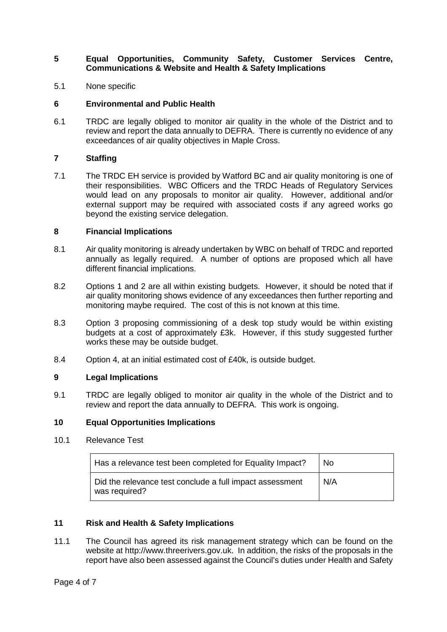# **5 Equal Opportunities, Community Safety, Customer Services Centre, Communications & Website and Health & Safety Implications**

5.1 None specific

## **6 Environmental and Public Health**

6.1 TRDC are legally obliged to monitor air quality in the whole of the District and to review and report the data annually to DEFRA. There is currently no evidence of any exceedances of air quality objectives in Maple Cross.

## **7 Staffing**

7.1 The TRDC EH service is provided by Watford BC and air quality monitoring is one of their responsibilities. WBC Officers and the TRDC Heads of Regulatory Services would lead on any proposals to monitor air quality. However, additional and/or external support may be required with associated costs if any agreed works go beyond the existing service delegation.

#### **8 Financial Implications**

- 8.1 Air quality monitoring is already undertaken by WBC on behalf of TRDC and reported annually as legally required. A number of options are proposed which all have different financial implications.
- 8.2 Options 1 and 2 are all within existing budgets. However, it should be noted that if air quality monitoring shows evidence of any exceedances then further reporting and monitoring maybe required. The cost of this is not known at this time.
- 8.3 Option 3 proposing commissioning of a desk top study would be within existing budgets at a cost of approximately £3k. However, if this study suggested further works these may be outside budget.
- 8.4 Option 4, at an initial estimated cost of £40k, is outside budget.

# **9 Legal Implications**

9.1 TRDC are legally obliged to monitor air quality in the whole of the District and to review and report the data annually to DEFRA. This work is ongoing.

## **10 Equal Opportunities Implications**

10.1 Relevance Test

| Has a relevance test been completed for Equality Impact?                  | No. |
|---------------------------------------------------------------------------|-----|
| Did the relevance test conclude a full impact assessment<br>was required? | N/A |

#### **11 Risk and Health & Safety Implications**

11.1 The Council has agreed its risk management strategy which can be found on the website at http://www.threerivers.gov.uk. In addition, the risks of the proposals in the report have also been assessed against the Council's duties under Health and Safety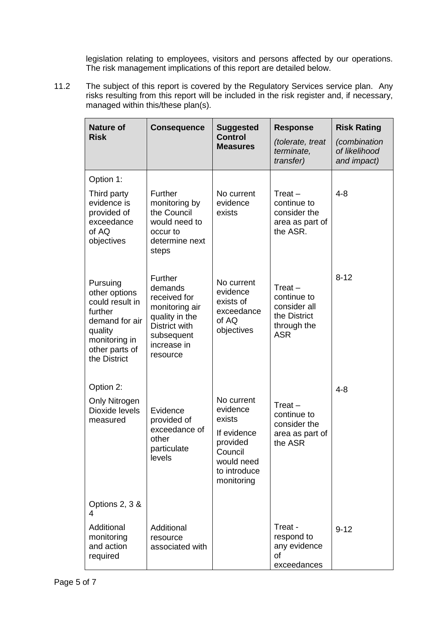legislation relating to employees, visitors and persons affected by our operations. The risk management implications of this report are detailed below.

11.2 The subject of this report is covered by the Regulatory Services service plan. Any risks resulting from this report will be included in the risk register and, if necessary, managed within this/these plan(s).

| <b>Nature of</b><br><b>Risk</b>                                                                                                         | <b>Consequence</b>                                                                                                               | <b>Suggested</b><br><b>Control</b><br><b>Measures</b>                                                              | <b>Response</b><br>(tolerate, treat<br>terminate,<br>transfer)                        | <b>Risk Rating</b><br><i>(combination</i><br>of likelihood<br>and impact) |
|-----------------------------------------------------------------------------------------------------------------------------------------|----------------------------------------------------------------------------------------------------------------------------------|--------------------------------------------------------------------------------------------------------------------|---------------------------------------------------------------------------------------|---------------------------------------------------------------------------|
| Option 1:                                                                                                                               |                                                                                                                                  |                                                                                                                    |                                                                                       |                                                                           |
| Third party<br>evidence is<br>provided of<br>exceedance<br>of AQ<br>objectives                                                          | <b>Further</b><br>monitoring by<br>the Council<br>would need to<br>occur to<br>determine next<br>steps                           | No current<br>evidence<br>exists                                                                                   | $Treat -$<br>continue to<br>consider the<br>area as part of<br>the ASR.               | $4 - 8$                                                                   |
| Pursuing<br>other options<br>could result in<br>further<br>demand for air<br>quality<br>monitoring in<br>other parts of<br>the District | Further<br>demands<br>received for<br>monitoring air<br>quality in the<br>District with<br>subsequent<br>increase in<br>resource | No current<br>evidence<br>exists of<br>exceedance<br>of AQ<br>objectives                                           | Treat $-$<br>continue to<br>consider all<br>the District<br>through the<br><b>ASR</b> | $8 - 12$                                                                  |
| Option 2:                                                                                                                               |                                                                                                                                  |                                                                                                                    |                                                                                       | $4 - 8$                                                                   |
| Only Nitrogen<br>Dioxide levels<br>measured                                                                                             | Evidence<br>provided of<br>exceedance of<br>other<br>particulate<br>levels                                                       | No current<br>evidence<br>exists<br>If evidence<br>provided<br>Council<br>would need<br>to introduce<br>monitoring | Treat $-$<br>continue to<br>consider the<br>area as part of<br>the ASR                |                                                                           |
| Options 2, 3 &<br>4                                                                                                                     |                                                                                                                                  |                                                                                                                    |                                                                                       |                                                                           |
| Additional<br>monitoring<br>and action<br>required                                                                                      | Additional<br>resource<br>associated with                                                                                        |                                                                                                                    | Treat -<br>respond to<br>any evidence<br>of<br>exceedances                            | $9 - 12$                                                                  |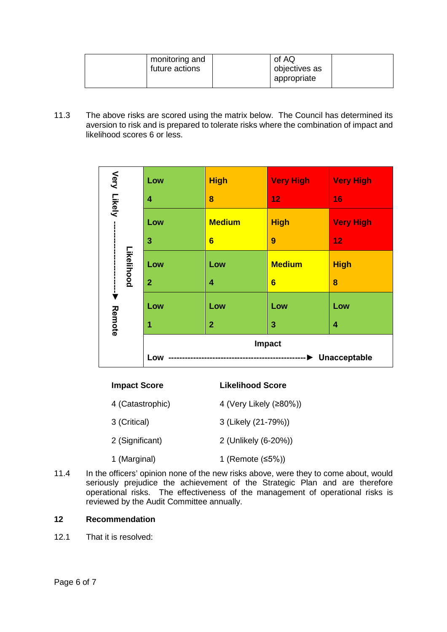11.3 The above risks are scored using the matrix below. The Council has determined its aversion to risk and is prepared to tolerate risks where the combination of impact and likelihood scores 6 or less.

|      |                                                                                                                                                                                                                                                                                                    | Low            | <b>High</b>             | <b>Very High</b>           | <b>Very High</b> |
|------|----------------------------------------------------------------------------------------------------------------------------------------------------------------------------------------------------------------------------------------------------------------------------------------------------|----------------|-------------------------|----------------------------|------------------|
|      | Very Likely<br>Likelihood                                                                                                                                                                                                                                                                          | 4              | 8                       | 12                         | 16               |
|      |                                                                                                                                                                                                                                                                                                    | Low            | <b>Medium</b>           | <b>High</b>                | <b>Very High</b> |
|      |                                                                                                                                                                                                                                                                                                    | 3              | 6                       | 9                          | 12               |
|      |                                                                                                                                                                                                                                                                                                    | Low            | Low                     | <b>Medium</b>              | <b>High</b>      |
|      |                                                                                                                                                                                                                                                                                                    | $\overline{2}$ | 4                       | $6\phantom{1}6$            | 8                |
|      | ▼                                                                                                                                                                                                                                                                                                  | Low            | Low                     | Low                        | Low              |
|      | Remote                                                                                                                                                                                                                                                                                             | 1              | $\overline{2}$          | 3                          | 4                |
|      |                                                                                                                                                                                                                                                                                                    |                |                         | Impact                     |                  |
|      |                                                                                                                                                                                                                                                                                                    | Low            |                         | ----------- > Unacceptable |                  |
|      | <b>Impact Score</b>                                                                                                                                                                                                                                                                                |                | <b>Likelihood Score</b> |                            |                  |
|      | 4 (Catastrophic)                                                                                                                                                                                                                                                                                   |                | 4 (Very Likely (≥80%))  |                            |                  |
|      | 3 (Critical)                                                                                                                                                                                                                                                                                       |                | 3 (Likely (21-79%))     |                            |                  |
|      | 2 (Significant)                                                                                                                                                                                                                                                                                    |                | 2 (Unlikely (6-20%))    |                            |                  |
|      | 1 (Marginal)                                                                                                                                                                                                                                                                                       |                | 1 (Remote (≤5%))        |                            |                  |
| 11.4 | In the officers' opinion none of the new risks above, were they to come about, would<br>seriously prejudice the achievement of the Strategic Plan and are therefore<br>operational risks. The effectiveness of the management of operational risks is<br>reviewed by the Audit Committee annually. |                |                         |                            |                  |
| 12   | <b>Recommendation</b>                                                                                                                                                                                                                                                                              |                |                         |                            |                  |
| 12.1 | That it is resolved:                                                                                                                                                                                                                                                                               |                |                         |                            |                  |

| <b>Impact Score</b> | Likelihood Score       |
|---------------------|------------------------|
| 4 (Catastrophic)    | 4 (Very Likely (≥80%)) |
| 3 (Critical)        | 3 (Likely (21-79%))    |
| 2 (Significant)     | 2 (Unlikely (6-20%))   |
| 1 (Marginal)        | 1 (Remote $≤5%)$ )     |

# **12 Recommendation**